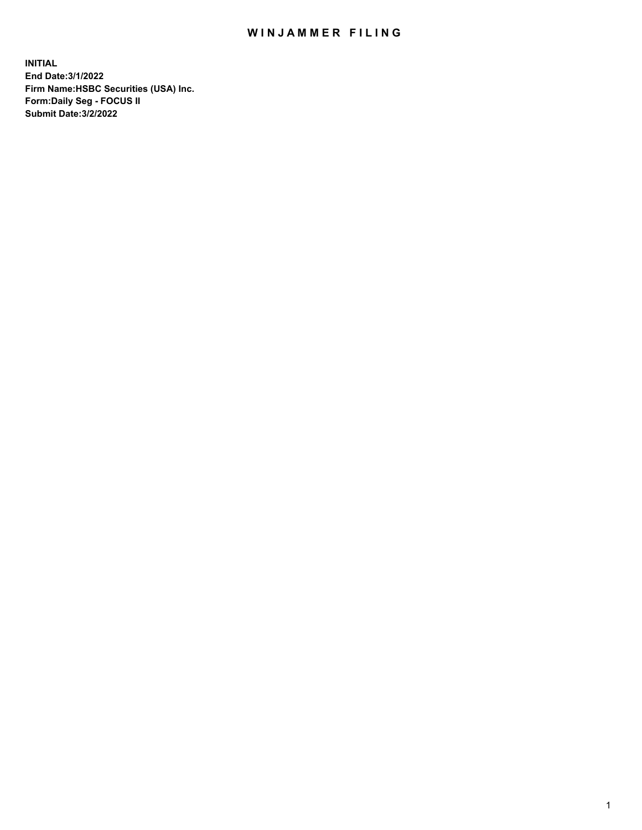## WIN JAMMER FILING

**INITIAL End Date:3/1/2022 Firm Name:HSBC Securities (USA) Inc. Form:Daily Seg - FOCUS II Submit Date:3/2/2022**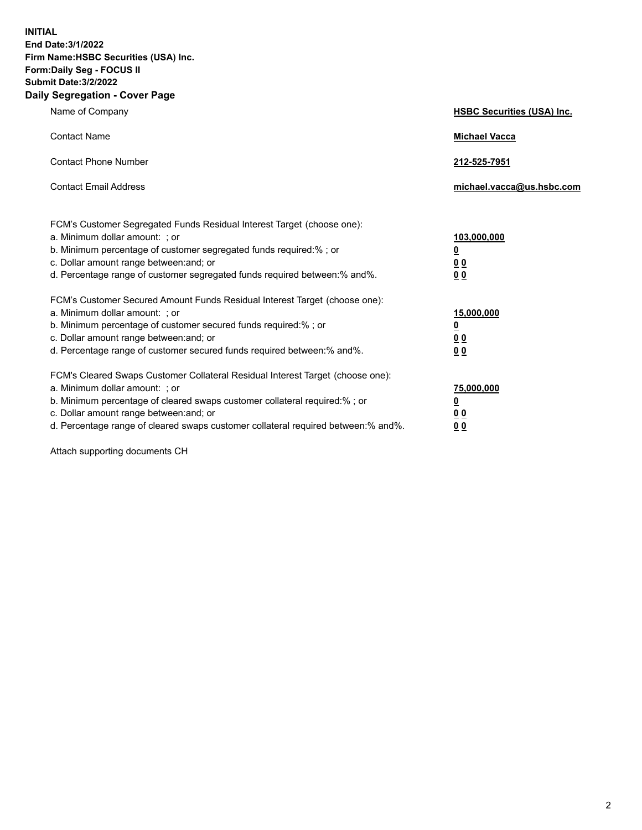**INITIAL End Date:3/1/2022 Firm Name:HSBC Securities (USA) Inc. Form:Daily Seg - FOCUS II Submit Date:3/2/2022 Daily Segregation - Cover Page**

| Name of Company                                                                                                                                                                                                                                                                                                                | <b>HSBC Securities (USA) Inc.</b>               |
|--------------------------------------------------------------------------------------------------------------------------------------------------------------------------------------------------------------------------------------------------------------------------------------------------------------------------------|-------------------------------------------------|
| <b>Contact Name</b>                                                                                                                                                                                                                                                                                                            | <b>Michael Vacca</b>                            |
| <b>Contact Phone Number</b>                                                                                                                                                                                                                                                                                                    | 212-525-7951                                    |
| <b>Contact Email Address</b>                                                                                                                                                                                                                                                                                                   | michael.vacca@us.hsbc.com                       |
| FCM's Customer Segregated Funds Residual Interest Target (choose one):<br>a. Minimum dollar amount: ; or<br>b. Minimum percentage of customer segregated funds required:%; or<br>c. Dollar amount range between: and; or<br>d. Percentage range of customer segregated funds required between:% and%.                          | 103,000,000<br><u>0</u><br>0 <sub>0</sub><br>00 |
| FCM's Customer Secured Amount Funds Residual Interest Target (choose one):<br>a. Minimum dollar amount: ; or<br>b. Minimum percentage of customer secured funds required:%; or<br>c. Dollar amount range between: and; or<br>d. Percentage range of customer secured funds required between:% and%.                            | 15,000,000<br><u>0</u><br>0 <sub>0</sub><br>00  |
| FCM's Cleared Swaps Customer Collateral Residual Interest Target (choose one):<br>a. Minimum dollar amount: ; or<br>b. Minimum percentage of cleared swaps customer collateral required:% ; or<br>c. Dollar amount range between: and; or<br>d. Percentage range of cleared swaps customer collateral required between:% and%. | 75,000,000<br><u>0</u><br><u>00</u><br>00       |

Attach supporting documents CH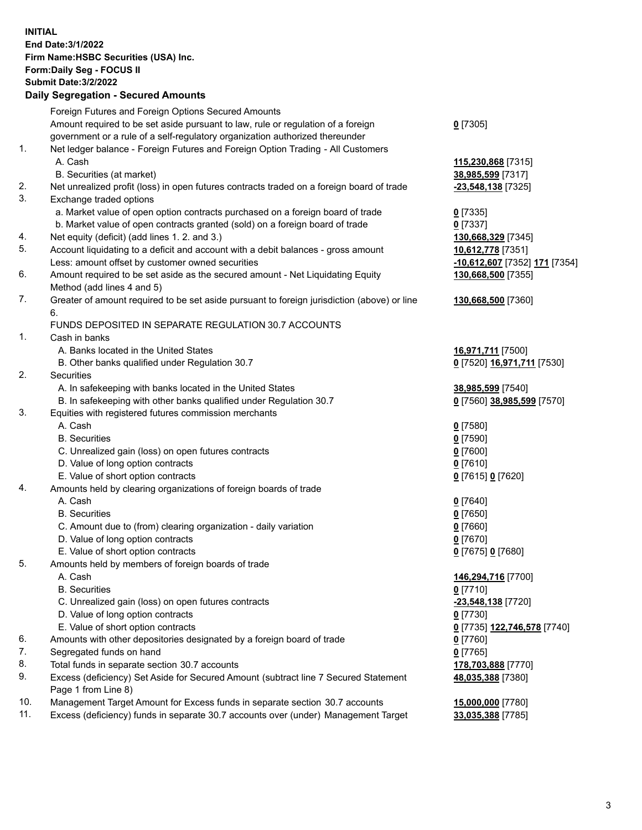**INITIAL End Date:3/1/2022 Firm Name:HSBC Securities (USA) Inc. Form:Daily Seg - FOCUS II Submit Date:3/2/2022 Daily Segregation - Secured Amounts** Foreign Futures and Foreign Options Secured Amounts Amount required to be set aside pursuant to law, rule or regulation of a foreign government or a rule of a self-regulatory organization authorized thereunder **0** [7305] 1. Net ledger balance - Foreign Futures and Foreign Option Trading - All Customers A. Cash **115,230,868** [7315] B. Securities (at market) **38,985,599** [7317] 2. Net unrealized profit (loss) in open futures contracts traded on a foreign board of trade **-23,548,138** [7325] 3. Exchange traded options a. Market value of open option contracts purchased on a foreign board of trade **0** [7335] b. Market value of open contracts granted (sold) on a foreign board of trade **0** [7337] 4. Net equity (deficit) (add lines 1. 2. and 3.) **130,668,329** [7345] 5. Account liquidating to a deficit and account with a debit balances - gross amount **10,612,778** [7351] Less: amount offset by customer owned securities **-10,612,607** [7352] **171** [7354] 6. Amount required to be set aside as the secured amount - Net Liquidating Equity Method (add lines 4 and 5) **130,668,500** [7355] 7. Greater of amount required to be set aside pursuant to foreign jurisdiction (above) or line 6. **130,668,500** [7360] FUNDS DEPOSITED IN SEPARATE REGULATION 30.7 ACCOUNTS 1. Cash in banks A. Banks located in the United States **16,971,711** [7500] B. Other banks qualified under Regulation 30.7 **0** [7520] **16,971,711** [7530] 2. Securities A. In safekeeping with banks located in the United States **38,985,599** [7540] B. In safekeeping with other banks qualified under Regulation 30.7 **0** [7560] **38,985,599** [7570] 3. Equities with registered futures commission merchants A. Cash **0** [7580] B. Securities **0** [7590] C. Unrealized gain (loss) on open futures contracts **0** [7600] D. Value of long option contracts **0** [7610] E. Value of short option contracts **0** [7615] **0** [7620] 4. Amounts held by clearing organizations of foreign boards of trade A. Cash **0** [7640] B. Securities **0** [7650] C. Amount due to (from) clearing organization - daily variation **0** [7660] D. Value of long option contracts **0** [7670] E. Value of short option contracts **0** [7675] **0** [7680] 5. Amounts held by members of foreign boards of trade A. Cash **146,294,716** [7700] B. Securities **0** [7710] C. Unrealized gain (loss) on open futures contracts **-23,548,138** [7720] D. Value of long option contracts **0** [7730] E. Value of short option contracts **0** [7735] **122,746,578** [7740] 6. Amounts with other depositories designated by a foreign board of trade **0** [7760] 7. Segregated funds on hand **0** [7765] 8. Total funds in separate section 30.7 accounts **178,703,888** [7770] 9. Excess (deficiency) Set Aside for Secured Amount (subtract line 7 Secured Statement Page 1 from Line 8) **48,035,388** [7380] 10. Management Target Amount for Excess funds in separate section 30.7 accounts **15,000,000** [7780] 11. Excess (deficiency) funds in separate 30.7 accounts over (under) Management Target **33,035,388** [7785]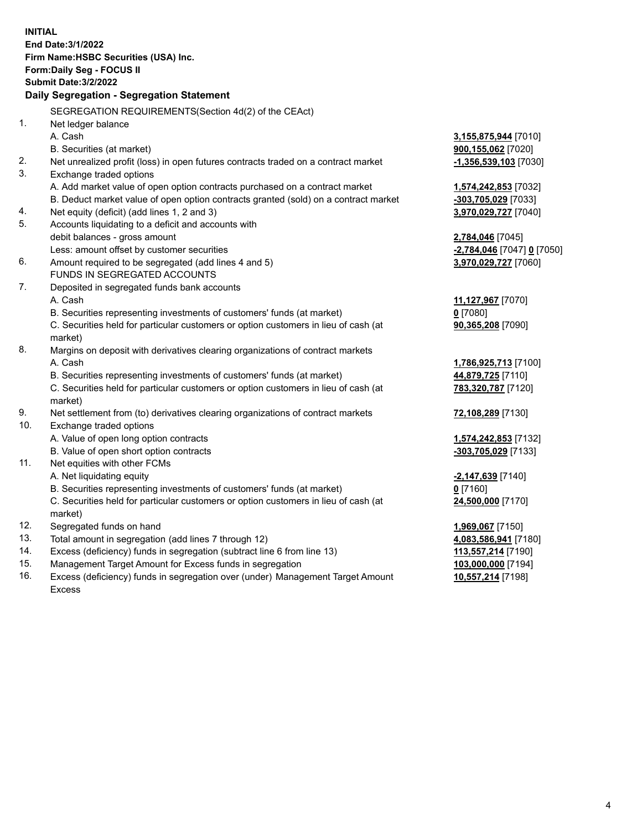| <b>INITIAL</b> | End Date: 3/1/2022<br>Firm Name: HSBC Securities (USA) Inc.<br>Form: Daily Seg - FOCUS II<br><b>Submit Date: 3/2/2022</b><br>Daily Segregation - Segregation Statement |                                           |
|----------------|------------------------------------------------------------------------------------------------------------------------------------------------------------------------|-------------------------------------------|
|                | SEGREGATION REQUIREMENTS(Section 4d(2) of the CEAct)                                                                                                                   |                                           |
| 1.             | Net ledger balance                                                                                                                                                     |                                           |
|                | A. Cash                                                                                                                                                                | 3,155,875,944 [7010]                      |
|                | B. Securities (at market)                                                                                                                                              | 900,155,062 [7020]                        |
| 2.             | Net unrealized profit (loss) in open futures contracts traded on a contract market                                                                                     | -1,356,539,103 [7030]                     |
| 3.             | Exchange traded options                                                                                                                                                |                                           |
|                | A. Add market value of open option contracts purchased on a contract market                                                                                            | 1,574,242,853 [7032]                      |
|                | B. Deduct market value of open option contracts granted (sold) on a contract market                                                                                    | -303,705,029 [7033]                       |
| 4.             | Net equity (deficit) (add lines 1, 2 and 3)                                                                                                                            | 3,970,029,727 [7040]                      |
| 5.             | Accounts liquidating to a deficit and accounts with                                                                                                                    |                                           |
|                | debit balances - gross amount                                                                                                                                          | 2,784,046 [7045]                          |
|                | Less: amount offset by customer securities                                                                                                                             | <u>-2,784,046</u> [7047] <u>0</u> [7050]  |
| 6.             | Amount required to be segregated (add lines 4 and 5)                                                                                                                   | 3,970,029,727 [7060]                      |
|                | FUNDS IN SEGREGATED ACCOUNTS                                                                                                                                           |                                           |
| 7.             | Deposited in segregated funds bank accounts                                                                                                                            |                                           |
|                | A. Cash                                                                                                                                                                | 11,127,967 [7070]                         |
|                | B. Securities representing investments of customers' funds (at market)                                                                                                 | $0$ [7080]                                |
|                | C. Securities held for particular customers or option customers in lieu of cash (at                                                                                    | 90,365,208 [7090]                         |
| 8.             | market)                                                                                                                                                                |                                           |
|                | Margins on deposit with derivatives clearing organizations of contract markets<br>A. Cash                                                                              |                                           |
|                | B. Securities representing investments of customers' funds (at market)                                                                                                 | 1,786,925,713 [7100]<br>44,879,725 [7110] |
|                | C. Securities held for particular customers or option customers in lieu of cash (at                                                                                    | 783,320,787 [7120]                        |
|                | market)                                                                                                                                                                |                                           |
| 9.             | Net settlement from (to) derivatives clearing organizations of contract markets                                                                                        | 72,108,289 [7130]                         |
| 10.            | Exchange traded options                                                                                                                                                |                                           |
|                | A. Value of open long option contracts                                                                                                                                 | 1,574,242,853 [7132]                      |
|                | B. Value of open short option contracts                                                                                                                                | -303,705,029 [7133]                       |
| 11.            | Net equities with other FCMs                                                                                                                                           |                                           |
|                | A. Net liquidating equity                                                                                                                                              | -2,147,639 [7140]                         |
|                | B. Securities representing investments of customers' funds (at market)                                                                                                 | $0$ [7160]                                |
|                | C. Securities held for particular customers or option customers in lieu of cash (at                                                                                    | 24,500,000 [7170]                         |
|                | market)                                                                                                                                                                |                                           |
| 12.            | Segregated funds on hand                                                                                                                                               | 1,969,067 [7150]                          |
| 13.            | Total amount in segregation (add lines 7 through 12)                                                                                                                   | 4,083,586,941 [7180]                      |
| 14.            | Excess (deficiency) funds in segregation (subtract line 6 from line 13)                                                                                                | 113,557,214 [7190]                        |
| 15.            | Management Target Amount for Excess funds in segregation                                                                                                               | 103,000,000 [7194]                        |
| 16.            | Excess (deficiency) funds in segregation over (under) Management Target Amount                                                                                         | 10,557,214 [7198]                         |

Excess